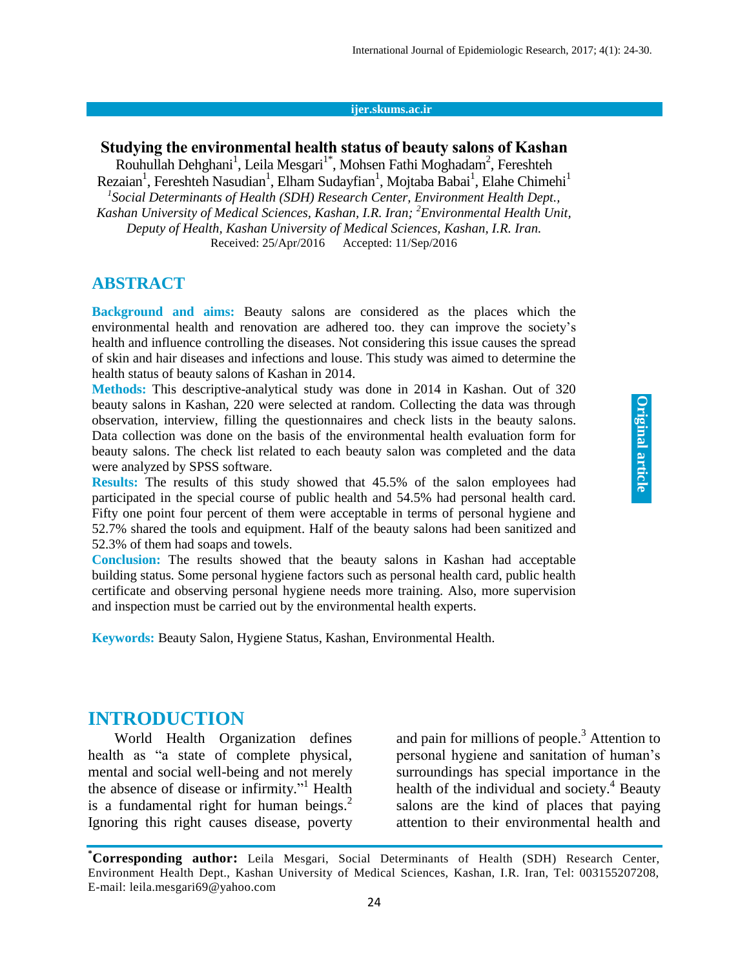#### **ijer.skums.ac.ir**

## **Studying the environmental health status of beauty salons of Kashan**

[Rouhullah Dehghani](http://ijer.skums.ac.ir/?_action=article&au=82905&_au=Rouhullah++Dehghani)<sup>1</sup>, [Leila Mesgari](http://ijer.skums.ac.ir/?_action=article&au=120803&_au=Leila++Mesgari)<sup>[1\\*](http://ijer.skums.ac.ir/?_action=article&au=120803&_au=Leila++Mesgari)</sup>, [Mohsen Fathi Moghadam](http://ijer.skums.ac.ir/?_action=article&au=120807&_au=Mohsen++Fathi+Moghadam)<sup>2</sup>, Fereshteh [Rezaian](http://ijer.skums.ac.ir/?_action=article&au=120809&_au=Fereshteh++Rezaian)<sup>1</sup>[,](http://ijer.skums.ac.ir/article_21818.html#au1) [Fereshteh Nasudian](http://ijer.skums.ac.ir/?_action=article&au=120810&_au=Fereshteh++Nasudian)<sup>1</sup>[, Elham Sudayfian](http://ijer.skums.ac.ir/?_action=article&au=120811&_au=Elham++Sudayfian)<sup>1</sup>, [Mojtaba Babai](http://ijer.skums.ac.ir/?_action=article&au=120812&_au=Mojtaba++Babai)<sup>1</sup>, [Elahe Chimehi](http://ijer.skums.ac.ir/?_action=article&au=120814&_au=Elahe++Chimehi)<sup>[1](http://ijer.skums.ac.ir/?_action=article&au=120814&_au=Elahe++Chimehi)</sup> <sup>1</sup> Social Determinants of Health (SDH) Research Center, Environment Health Dept., *Kashan University of Medical Sciences, Kashan, I.R. Iran; <sup>2</sup>Environmental Health Unit, Deputy of Health, Kashan University of Medical Sciences, Kashan, I.R. Iran.* Received: 25/Apr/2016 Accepted: 11/Sep/2016

### **ABSTRACT**

**Background and aims:** Beauty salons are considered as the places which the environmental health and renovation are adhered too. they can improve the society's health and influence controlling the diseases. Not considering this issue causes the spread of skin and hair diseases and infections and louse. This study was aimed to determine the health status of beauty salons of Kashan in 2014.

**Methods:** This descriptive-analytical study was done in 2014 in Kashan. Out of 320 beauty salons in Kashan, 220 were selected at random. Collecting the data was through observation, interview, filling the questionnaires and check lists in the beauty salons. Data collection was done on the basis of the environmental health evaluation form for beauty salons. The check list related to each beauty salon was completed and the data were analyzed by SPSS software.

**Results:** The results of this study showed that 45.5% of the salon employees had participated in the special course of public health and 54.5% had personal health card. Fifty one point four percent of them were acceptable in terms of personal hygiene and 52.7% shared the tools and equipment. Half of the beauty salons had been sanitized and 52.3% of them had soaps and towels.

**Conclusion:** The results showed that the beauty salons in Kashan had acceptable building status. Some personal hygiene factors such as personal health card, public health certificate and observing personal hygiene needs more training. Also, more supervision and inspection must be carried out by the environmental health experts.

**Keywords:** Beauty Salon, Hygiene Status, Kashan, Environmental Health.

### **INTRODUCTION**

World Health Organization defines health as "a state of complete physical, mental and social well-being and not merely the absence of disease or infirmity." <sup>1</sup> Health is a fundamental right for human beings. $<sup>2</sup>$ </sup> Ignoring this right causes disease, poverty

and pain for millions of people. <sup>3</sup> Attention to personal hygiene and sanitation of human's surroundings has special importance in the health of the individual and society. <sup>4</sup> Beauty salons are the kind of places that paying attention to their environmental health and

Original article **Original article**

**<sup>\*</sup>Corresponding author:** Leila Mesgari, Social Determinants of Health (SDH) Research Center, Environment Health Dept., Kashan University of Medical Sciences, Kashan, I.R. Iran, Tel: 003155207208, E-mail: leila.mesgari69@yahoo.com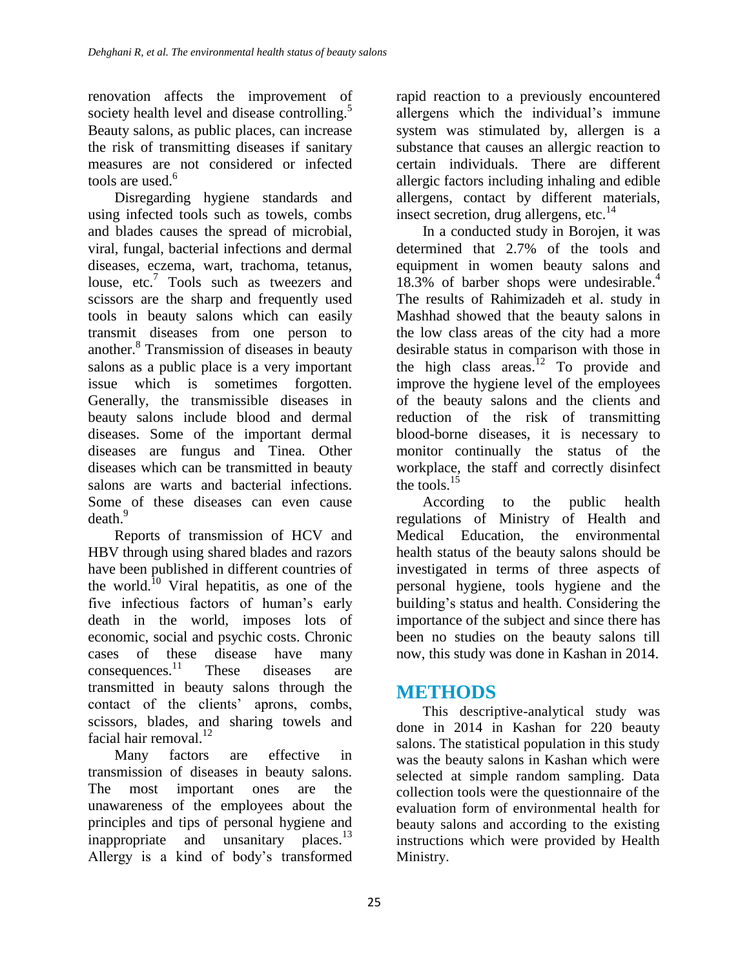renovation affects the improvement of society health level and disease controlling.<sup>5</sup> Beauty salons, as public places, can increase the risk of transmitting diseases if sanitary measures are not considered or infected tools are used. 6

Disregarding hygiene standards and using infected tools such as towels, combs and blades causes the spread of microbial, viral, fungal, bacterial infections and dermal diseases, eczema, wart, trachoma, tetanus, louse, etc.<sup>7</sup> Tools such as tweezers and scissors are the sharp and frequently used tools in beauty salons which can easily transmit diseases from one person to another. 8 Transmission of diseases in beauty salons as a public place is a very important issue which is sometimes forgotten. Generally, the transmissible diseases in beauty salons include blood and dermal diseases. Some of the important dermal diseases are fungus and Tinea. Other diseases which can be transmitted in beauty salons are warts and bacterial infections. Some of these diseases can even cause death. 9

Reports of transmission of HCV and HBV through using shared blades and razors have been published in different countries of the world. <sup>10</sup> Viral hepatitis, as one of the five infectious factors of human's early death in the world, imposes lots of economic, social and psychic costs. Chronic cases of these disease have many consequences. These diseases are transmitted in beauty salons through the contact of the clients' aprons, combs, scissors, blades, and sharing towels and facial hair removal.<sup>12</sup>

Many factors are effective in transmission of diseases in beauty salons. The most important ones are the unawareness of the employees about the principles and tips of personal hygiene and inappropriate and unsanitary places.<sup>13</sup> Allergy is a kind of body's transformed

rapid reaction to a previously encountered allergens which the individual's immune system was stimulated by, allergen is a substance that causes an allergic reaction to certain individuals. There are different allergic factors including inhaling and edible allergens, contact by different materials, insect secretion, drug allergens, etc. 14

In a conducted study in Borojen, it was determined that 2.7% of the tools and equipment in women beauty salons and 18.3% of barber shops were undesirable. 4 The results of Rahimizadeh et al. study in Mashhad showed that the beauty salons in the low class areas of the city had a more desirable status in comparison with those in the high class areas.<sup>12</sup> To provide and improve the hygiene level of the employees of the beauty salons and the clients and reduction of the risk of transmitting blood-borne diseases, it is necessary to monitor continually the status of the workplace, the staff and correctly disinfect the tools. $15$ 

According to the public health regulations of Ministry of Health and Medical Education, the environmental health status of the beauty salons should be investigated in terms of three aspects of personal hygiene, tools hygiene and the building's status and health. Considering the importance of the subject and since there has been no studies on the beauty salons till now, this study was done in Kashan in 2014.

# **METHODS**

This descriptive-analytical study was done in 2014 in Kashan for 220 beauty salons. The statistical population in this study was the beauty salons in Kashan which were selected at simple random sampling. Data collection tools were the questionnaire of the evaluation form of environmental health for beauty salons and according to the existing instructions which were provided by Health Ministry.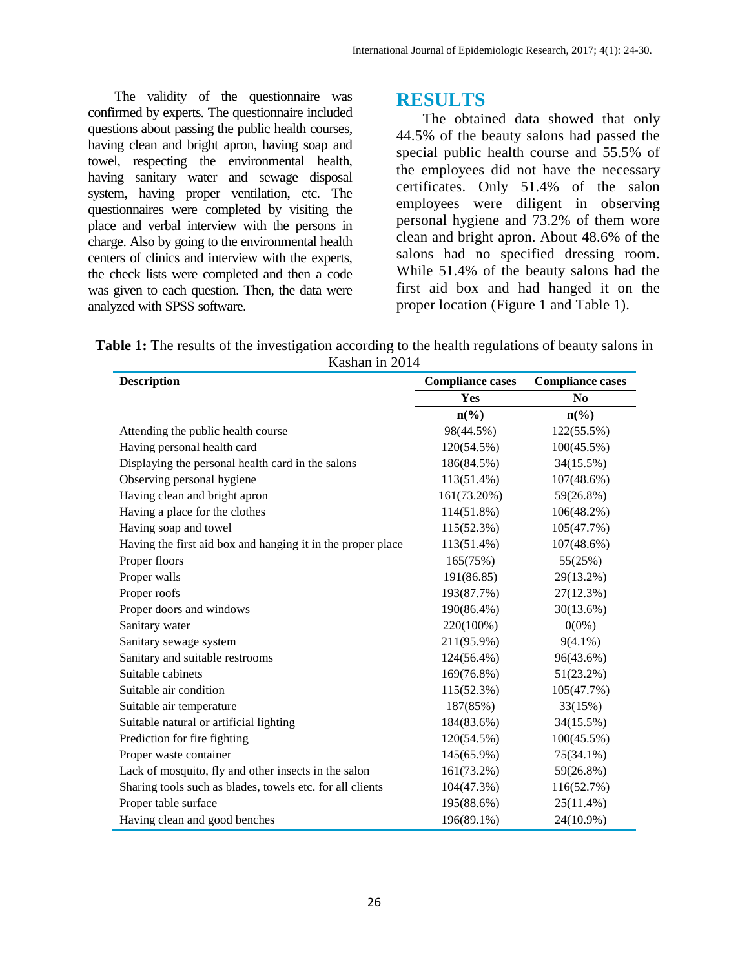The validity of the questionnaire was confirmed by experts. The questionnaire included questions about passing the public health courses, having clean and bright apron, having soap and towel, respecting the environmental health, having sanitary water and sewage disposal system, having proper ventilation, etc. The questionnaires were completed by visiting the place and verbal interview with the persons in charge. Also by going to the environmental health centers of clinics and interview with the experts, the check lists were completed and then a code was given to each question. Then, the data were analyzed with SPSS software.

#### **RESULTS**

The obtained data showed that only 44.5% of the beauty salons had passed the special public health course and 55.5% of the employees did not have the necessary certificates. Only 51.4% of the salon employees were diligent in observing personal hygiene and 73.2% of them wore clean and bright apron. About 48.6% of the salons had no specified dressing room. While 51.4% of the beauty salons had the first aid box and had hanged it on the proper location (Figure 1 and Table 1).

**Table 1:** The results of the investigation according to the health regulations of beauty salons in Kashan in 2014

| <b>Description</b>                                          | <b>Compliance cases</b>     | <b>Compliance cases</b> |
|-------------------------------------------------------------|-----------------------------|-------------------------|
|                                                             | Yes                         | N <sub>0</sub>          |
|                                                             | $n\left(\frac{0}{0}\right)$ | $n\left(\%\right)$      |
| Attending the public health course                          | 98(44.5%)                   | 122(55.5%)              |
| Having personal health card                                 | 120(54.5%)                  | 100(45.5%)              |
| Displaying the personal health card in the salons           | 186(84.5%)                  | 34(15.5%)               |
| Observing personal hygiene                                  | 113(51.4%)                  | 107(48.6%)              |
| Having clean and bright apron                               | 161(73.20%)                 | 59(26.8%)               |
| Having a place for the clothes                              | 114(51.8%)                  | 106(48.2%)              |
| Having soap and towel                                       | 115(52.3%)                  | 105(47.7%)              |
| Having the first aid box and hanging it in the proper place | 113(51.4%)                  | 107(48.6%)              |
| Proper floors                                               | 165(75%)                    | 55(25%)                 |
| Proper walls                                                | 191(86.85)                  | 29(13.2%)               |
| Proper roofs                                                | 193(87.7%)                  | 27(12.3%)               |
| Proper doors and windows                                    | 190(86.4%)                  | 30(13.6%)               |
| Sanitary water                                              | 220(100%)                   | $0(0\%)$                |
| Sanitary sewage system                                      | 211(95.9%)                  | $9(4.1\%)$              |
| Sanitary and suitable restrooms                             | 124(56.4%)                  | 96(43.6%)               |
| Suitable cabinets                                           | 169(76.8%)                  | $51(23.2\%)$            |
| Suitable air condition                                      | 115(52.3%)                  | 105(47.7%)              |
| Suitable air temperature                                    | 187(85%)                    | 33(15%)                 |
| Suitable natural or artificial lighting                     | 184(83.6%)                  | 34(15.5%)               |
| Prediction for fire fighting                                | 120(54.5%)                  | 100(45.5%)              |
| Proper waste container                                      | 145(65.9%)                  | 75(34.1%)               |
| Lack of mosquito, fly and other insects in the salon        | $161(73.2\%)$               | 59(26.8%)               |
| Sharing tools such as blades, towels etc. for all clients   | 104(47.3%)                  | 116(52.7%)              |
| Proper table surface                                        | 195(88.6%)                  | $25(11.4\%)$            |
| Having clean and good benches                               | 196(89.1%)                  | 24(10.9%)               |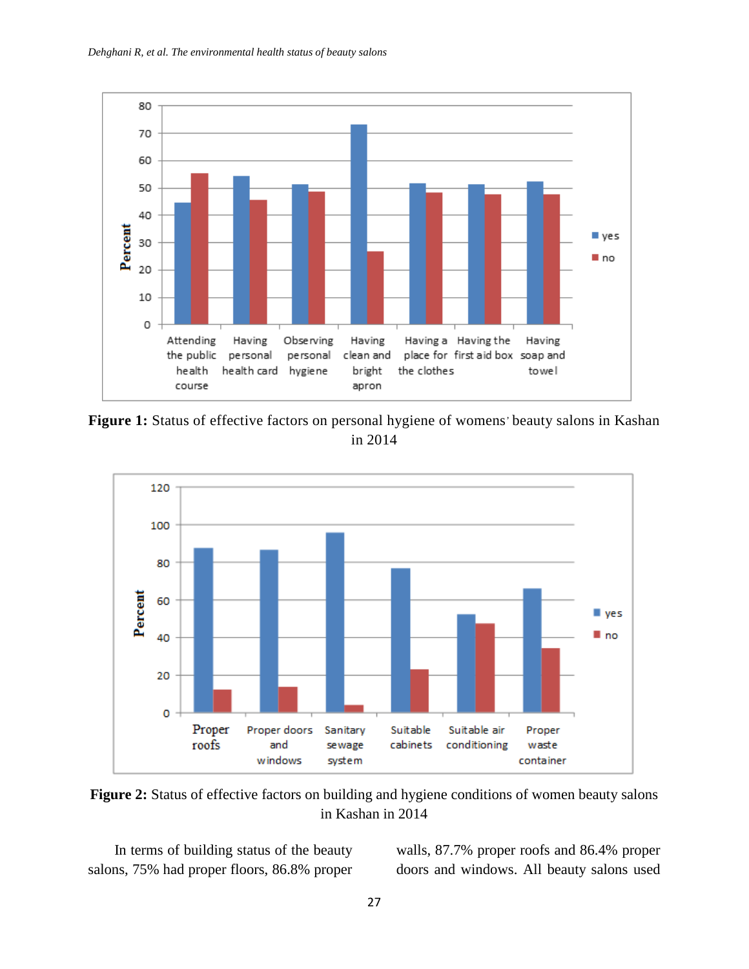

Figure 1: Status of effective factors on personal hygiene of womens' beauty salons in Kashan in 2014



**Figure 2:** Status of effective factors on building and hygiene conditions of women beauty salons in Kashan in 2014

In terms of building status of the beauty salons, 75% had proper floors, 86.8% proper

walls, 87.7% proper roofs and 86.4% proper doors and windows. All beauty salons used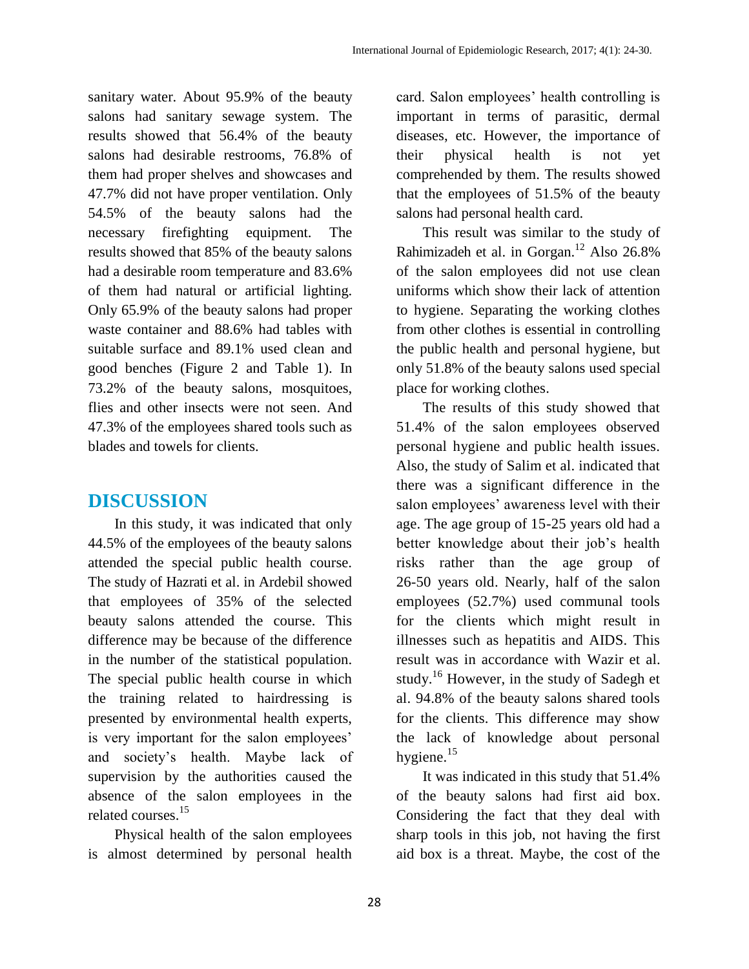sanitary water. About 95.9% of the beauty salons had sanitary sewage system. The results showed that 56.4% of the beauty salons had desirable restrooms, 76.8% of them had proper shelves and showcases and 47.7% did not have proper ventilation. Only 54.5% of the beauty salons had the necessary firefighting equipment. The results showed that 85% of the beauty salons had a desirable room temperature and 83.6% of them had natural or artificial lighting. Only 65.9% of the beauty salons had proper waste container and 88.6% had tables with suitable surface and 89.1% used clean and good benches (Figure 2 and Table 1). In 73.2% of the beauty salons, mosquitoes, flies and other insects were not seen. And 47.3% of the employees shared tools such as blades and towels for clients.

### **DISCUSSION**

In this study, it was indicated that only 44.5% of the employees of the beauty salons attended the special public health course. The study of Hazrati et al. in Ardebil showed that employees of 35% of the selected beauty salons attended the course. This difference may be because of the difference in the number of the statistical population. The special public health course in which the training related to hairdressing is presented by environmental health experts, is very important for the salon employees' and society's health. Maybe lack of supervision by the authorities caused the absence of the salon employees in the related courses. 15

Physical health of the salon employees is almost determined by personal health card. Salon employees' health controlling is important in terms of parasitic, dermal diseases, etc. However, the importance of their physical health is not yet comprehended by them. The results showed that the employees of 51.5% of the beauty salons had personal health card.

This result was similar to the study of Rahimizadeh et al. in Gorgan.<sup>12</sup> Also 26.8% of the salon employees did not use clean uniforms which show their lack of attention to hygiene. Separating the working clothes from other clothes is essential in controlling the public health and personal hygiene, but only 51.8% of the beauty salons used special place for working clothes.

The results of this study showed that 51.4% of the salon employees observed personal hygiene and public health issues. Also, the study of Salim et al. indicated that there was a significant difference in the salon employees' awareness level with their age. The age group of 15-25 years old had a better knowledge about their job's health risks rather than the age group of 26-50 years old. Nearly, half of the salon employees (52.7%) used communal tools for the clients which might result in illnesses such as hepatitis and AIDS. This result was in accordance with Wazir et al. study.<sup>16</sup> However, in the study of Sadegh et al. 94.8% of the beauty salons shared tools for the clients. This difference may show the lack of knowledge about personal hygiene.<sup>15</sup>

It was indicated in this study that 51.4% of the beauty salons had first aid box. Considering the fact that they deal with sharp tools in this job, not having the first aid box is a threat. Maybe, the cost of the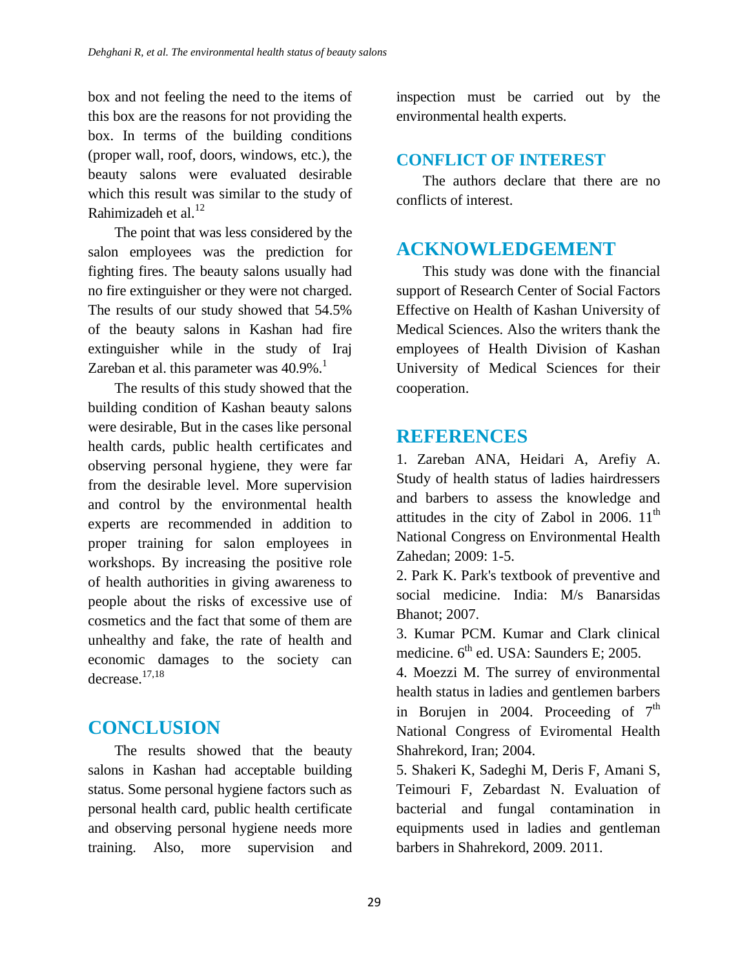box and not feeling the need to the items of this box are the reasons for not providing the box. In terms of the building conditions (proper wall, roof, doors, windows, etc.), the beauty salons were evaluated desirable which this result was similar to the study of Rahimizadeh et al.<sup>12</sup>

The point that was less considered by the salon employees was the prediction for fighting fires. The beauty salons usually had no fire extinguisher or they were not charged. The results of our study showed that 54.5% of the beauty salons in Kashan had fire extinguisher while in the study of Iraj Zareban et al. this parameter was  $40.9\%$ .<sup>1</sup>

The results of this study showed that the building condition of Kashan beauty salons were desirable, But in the cases like personal health cards, public health certificates and observing personal hygiene, they were far from the desirable level. More supervision and control by the environmental health experts are recommended in addition to proper training for salon employees in workshops. By increasing the positive role of health authorities in giving awareness to people about the risks of excessive use of cosmetics and the fact that some of them are unhealthy and fake, the rate of health and economic damages to the society can decrease. 17,18

# **CONCLUSION**

The results showed that the beauty salons in Kashan had acceptable building status. Some personal hygiene factors such as personal health card, public health certificate and observing personal hygiene needs more training. Also, more supervision and

inspection must be carried out by the environmental health experts.

### **CONFLICT OF INTEREST**

The authors declare that there are no conflicts of interest.

## **ACKNOWLEDGEMENT**

This study was done with the financial support of Research Center of Social Factors Effective on Health of Kashan University of Medical Sciences. Also the writers thank the employees of Health Division of Kashan University of Medical Sciences for their cooperation.

## **REFERENCES**

1. Zareban ANA, Heidari A, Arefiy A. Study of health status of ladies hairdressers and barbers to assess the knowledge and attitudes in the city of Zabol in 2006.  $11<sup>th</sup>$ National Congress on Environmental Health Zahedan; 2009: 1-5.

2. Park K. Park's textbook of preventive and social medicine. India: M/s Banarsidas Bhanot; 2007.

3. Kumar PCM. Kumar and Clark clinical medicine.  $6<sup>th</sup>$  ed. USA: Saunders E; 2005.

4. Moezzi M. The surrey of environmental health status in ladies and gentlemen barbers in Borujen in 2004. Proceeding of  $7<sup>th</sup>$ National Congress of Eviromental Health Shahrekord, Iran; 2004.

5. Shakeri K, Sadeghi M, Deris F, Amani S, Teimouri F, Zebardast N. Evaluation of bacterial and fungal contamination in equipments used in ladies and gentleman barbers in Shahrekord, 2009. 2011.